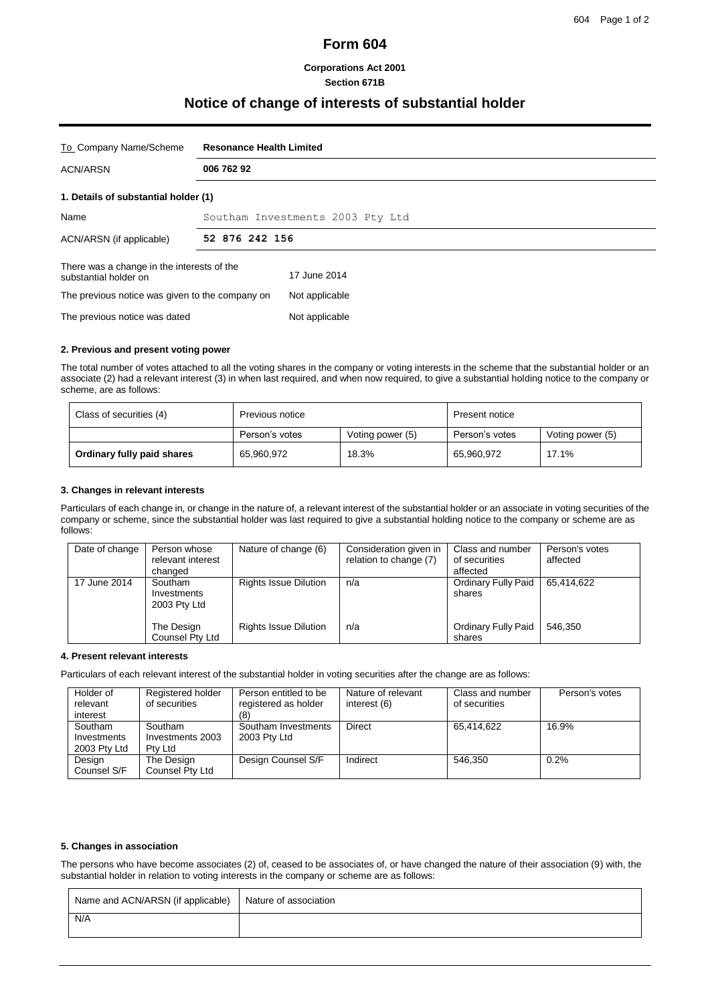# **Form 604**

## **Corporations Act 2001 Section 671B**

# **Notice of change of interests of substantial holder**

| To Company Name/Scheme                                              | <b>Resonance Health Limited</b>  |                |  |
|---------------------------------------------------------------------|----------------------------------|----------------|--|
| <b>ACN/ARSN</b>                                                     | 006 762 92                       |                |  |
| 1. Details of substantial holder (1)                                |                                  |                |  |
| Name                                                                | Southam Investments 2003 Pty Ltd |                |  |
| ACN/ARSN (if applicable)                                            | 52 876 242 156                   |                |  |
| There was a change in the interests of the<br>substantial holder on |                                  | 17 June 2014   |  |
| The previous notice was given to the company on                     |                                  | Not applicable |  |
| The previous notice was dated                                       |                                  | Not applicable |  |

### **2. Previous and present voting power**

The total number of votes attached to all the voting shares in the company or voting interests in the scheme that the substantial holder or an associate (2) had a relevant interest (3) in when last required, and when now required, to give a substantial holding notice to the company or scheme, are as follows:

| Class of securities (4)    | Previous notice |                  | Present notice |                  |
|----------------------------|-----------------|------------------|----------------|------------------|
|                            | Person's votes  | Voting power (5) | Person's votes | Voting power (5) |
| Ordinary fully paid shares | 65,960,972      | 18.3%            | 65,960,972     | 17.1%            |

## **3. Changes in relevant interests**

Particulars of each change in, or change in the nature of, a relevant interest of the substantial holder or an associate in voting securities of the company or scheme, since the substantial holder was last required to give a substantial holding notice to the company or scheme are as follows:

| Date of change | Person whose<br>relevant interest<br>changed | Nature of change (6)         | Consideration given in<br>relation to change (7) | Class and number<br>of securities<br>affected | Person's votes<br>affected |
|----------------|----------------------------------------------|------------------------------|--------------------------------------------------|-----------------------------------------------|----------------------------|
| 17 June 2014   | Southam<br>Investments<br>2003 Pty Ltd       | <b>Rights Issue Dilution</b> | n/a                                              | <b>Ordinary Fully Paid</b><br>shares          | 65.414.622                 |
|                | The Design<br>Counsel Pty Ltd                | <b>Rights Issue Dilution</b> | n/a                                              | <b>Ordinary Fully Paid</b><br>shares          | 546.350                    |

#### **4. Present relevant interests**

Particulars of each relevant interest of the substantial holder in voting securities after the change are as follows:

| Holder of<br>relevant<br>interest      | Registered holder<br>of securities     | Person entitled to be<br>registered as holder<br>81 | Nature of relevant<br>interest (6) | Class and number<br>of securities | Person's votes |
|----------------------------------------|----------------------------------------|-----------------------------------------------------|------------------------------------|-----------------------------------|----------------|
| Southam<br>Investments<br>2003 Pty Ltd | Southam<br>Investments 2003<br>Ptv Ltd | Southam Investments<br>2003 Pty Ltd                 | Direct                             | 65.414.622                        | 16.9%          |
| Design<br>Counsel S/F                  | The Design<br>Counsel Pty Ltd          | Design Counsel S/F                                  | Indirect                           | 546.350                           | 0.2%           |

#### **5. Changes in association**

The persons who have become associates (2) of, ceased to be associates of, or have changed the nature of their association (9) with, the substantial holder in relation to voting interests in the company or scheme are as follows:

| Name and ACN/ARSN (if applicable) Nature of association |  |
|---------------------------------------------------------|--|
| N/A                                                     |  |